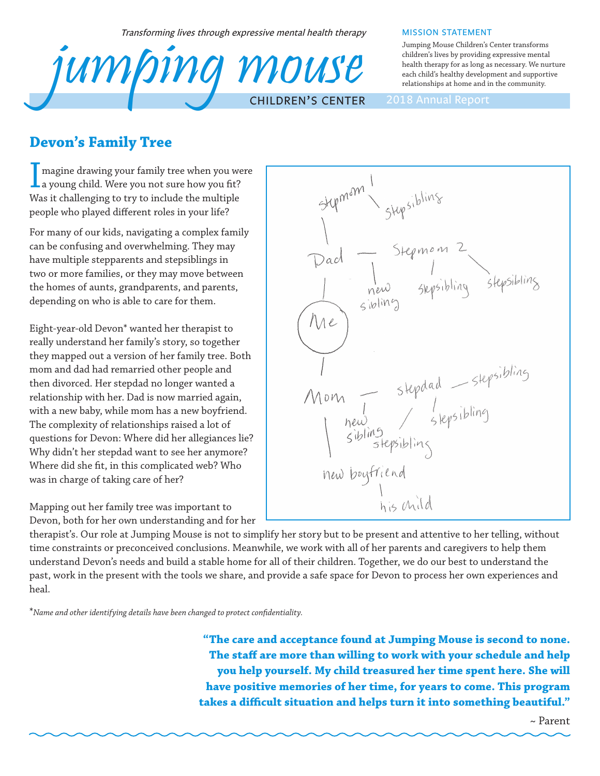Transforming lives through expressive mental health therapy



#### MISSION STATEMENT

Jumping Mouse Children's Center transforms children's lives by providing expressive mental health therapy for as long as necessary. We nurture each child's healthy development and supportive relationships at home and in the community.

## **Devon's Family Tree**

I magine drawing your family tree when you we<br>a young child. Were you not sure how you fit? magine drawing your family tree when you were Was it challenging to try to include the multiple people who played different roles in your life?

For many of our kids, navigating a complex family can be confusing and overwhelming. They may have multiple stepparents and stepsiblings in two or more families, or they may move between the homes of aunts, grandparents, and parents, depending on who is able to care for them.

Eight-year-old Devon\* wanted her therapist to really understand her family's story, so together they mapped out a version of her family tree. Both mom and dad had remarried other people and then divorced. Her stepdad no longer wanted a relationship with her. Dad is now married again, with a new baby, while mom has a new boyfriend. The complexity of relationships raised a lot of questions for Devon: Where did her allegiances lie? Why didn't her stepdad want to see her anymore? Where did she fit, in this complicated web? Who was in charge of taking care of her?

Mapping out her family tree was important to Devon, both for her own understanding and for her



therapist's. Our role at Jumping Mouse is not to simplify her story but to be present and attentive to her telling, without time constraints or preconceived conclusions. Meanwhile, we work with all of her parents and caregivers to help them understand Devon's needs and build a stable home for all of their children. Together, we do our best to understand the past, work in the present with the tools we share, and provide a safe space for Devon to process her own experiences and heal.

\**Name and other identifying details have been changed to protect confidentiality.*

**"The care and acceptance found at Jumping Mouse is second to none. The staff are more than willing to work with your schedule and help you help yourself. My child treasured her time spent here. She will have positive memories of her time, for years to come. This program takes a difficult situation and helps turn it into something beautiful."**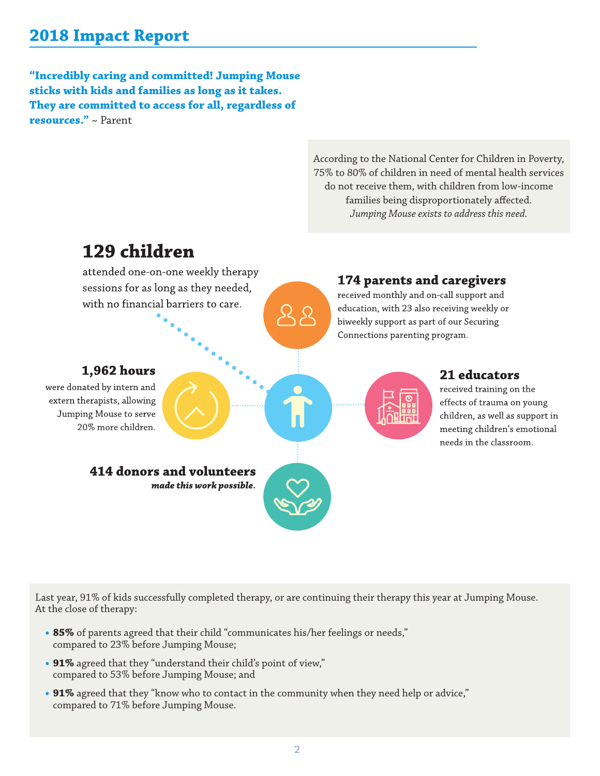# **2018 Impact Report**

**"Incredibly caring and committed! Jumping Mouse sticks with kids and families as long as it takes. They are committed to access for all, regardless of resources."** ~ Parent

> According to the National Center for Children in Poverty, 75% to 80% of children in need of mental health services do not receive them, with children from low-income families being disproportionately affected. *Jumping Mouse exists to address this need.*



Last year, 91% of kids successfully completed therapy, or are continuing their therapy this year at Jumping Mouse. At the close of therapy:

- **• 85%** of parents agreed that their child "communicates his/her feelings or needs," compared to 23% before Jumping Mouse;
- **• 91%** agreed that they "understand their child's point of view," compared to 53% before Jumping Mouse; and
- **• 91%** agreed that they "know who to contact in the community when they need help or advice," compared to 71% before Jumping Mouse.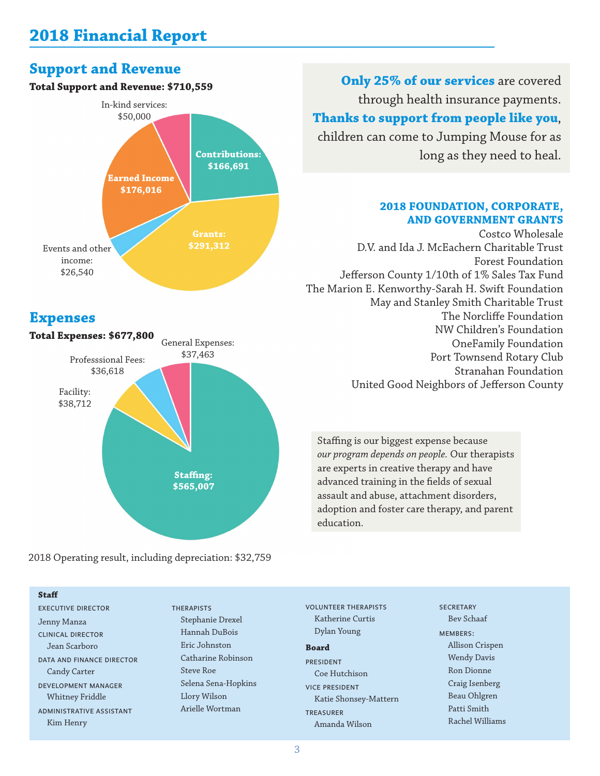## **Support and Revenue**

### **Total Support and Revenue: \$710,559**



### **Expenses**



2018 Operating result, including depreciation: \$32,759

#### **Staff**

EXECUTIVE DIRECTOR Jenny Manza CLINICAL DIRECTOR Jean Scarboro DATA AND FINANCE DIRECTOR Candy Carter DEVELOPMENT MANAGER Whitney Friddle ADMINISTRATIVE ASSISTANT Kim Henry

#### THERAPISTS

Stephanie Drexel Hannah DuBois Eric Johnston Catharine Robinson Steve Roe Selena Sena-Hopkins Llory Wilson Arielle Wortman

**Only 25% of our services** are covered through health insurance payments. **Thanks to support from people like you**,

children can come to Jumping Mouse for as long as they need to heal.

### **2018 FOUNDATION, CORPORATE, AND GOVERNMENT GRANTS**

Costco Wholesale D.V. and Ida J. McEachern Charitable Trust Forest Foundation Jefferson County 1/10th of 1% Sales Tax Fund The Marion E. Kenworthy-Sarah H. Swift Foundation May and Stanley Smith Charitable Trust The Norcliffe Foundation NW Children's Foundation OneFamily Foundation Port Townsend Rotary Club Stranahan Foundation United Good Neighbors of Jefferson County

Staffing is our biggest expense because *our program depends on people.* Our therapists are experts in creative therapy and have advanced training in the fields of sexual assault and abuse, attachment disorders, adoption and foster care therapy, and parent education.

VOLUNTEER THERAPISTS Katherine Curtis Dylan Young

#### **Board**

**PRESIDENT** Coe Hutchison VICE PRESIDENT Katie Shonsey-Mattern TREASURER Amanda Wilson

**SECRETARY** Bev Schaaf MEMBERS: Allison Crispen Wendy Davis Ron Dionne Craig Isenberg Beau Ohlgren Patti Smith Rachel Williams